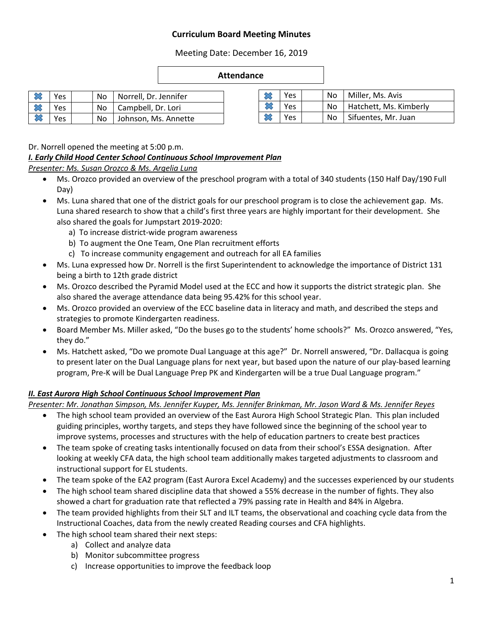# **Curriculum Board Meeting Minutes**

Meeting Date: December 16, 2019

### **Attendance**

|           | Yes |  | No   Norrell, Dr. Jennifer |
|-----------|-----|--|----------------------------|
|           | Yes |  | No   Campbell, Dr. Lori    |
| $\approx$ | Yes |  | No   Johnson, Ms. Annette  |

| Yes  |  | No   Miller, Ms. Avis       |
|------|--|-----------------------------|
| Yes. |  | No   Hatchett, Ms. Kimberly |
| Yes  |  | No   Sifuentes, Mr. Juan    |

Dr. Norrell opened the meeting at 5:00 p.m.

## *I. Early Child Hood Center School Continuous School Improvement Plan*

*Presenter: Ms. Susan Orozco & Ms. Argelia Luna* 

- Ms. Orozco provided an overview of the preschool program with a total of 340 students (150 Half Day/190 Full Day)
- Ms. Luna shared that one of the district goals for our preschool program is to close the achievement gap. Ms. Luna shared research to show that a child's first three years are highly important for their development. She also shared the goals for Jumpstart 2019-2020:
	- a) To increase district-wide program awareness
	- b)To augment the One Team, One Plan recruitment efforts
	- c)To increase community engagement and outreach for all EA families
- Ms. Luna expressed how Dr. Norrell is the first Superintendent to acknowledge the importance of District 131 being a birth to 12th grade district
- Ms. Orozco described the Pyramid Model used at the ECC and how it supports the district strategic plan. She also shared the average attendance data being 95.42% for this school year.
- Ms. Orozco provided an overview of the ECC baseline data in literacy and math, and described the steps and strategies to promote Kindergarten readiness.
- Board Member Ms. Miller asked, "Do the buses go to the students' home schools?" Ms. Orozco answered, "Yes, they do."
- Ms. Hatchett asked, "Do we promote Dual Language at this age?" Dr. Norrell answered, "Dr. Dallacqua is going to present later on the Dual Language plans for next year, but based upon the nature of our play-based learning program, Pre-K will be Dual Language Prep PK and Kindergarten will be a true Dual Language program."

# *II. East Aurora High School Continuous School Improvement Plan*

*Presenter: Mr. Jonathan Simpson, Ms. Jennifer Kuyper, Ms. Jennifer Brinkman, Mr. Jason Ward & Ms. Jennifer Reyes* 

- The high school team provided an overview of the East Aurora High School Strategic Plan. This plan included guiding principles, worthy targets, and steps they have followed since the beginning of the school year to improve systems, processes and structures with the help of education partners to create best practices
- The team spoke of creating tasks intentionally focused on data from their school's ESSA designation. After looking at weekly CFA data, the high school team additionally makes targeted adjustments to classroom and instructional support for EL students.
- The team spoke of the EA2 program (East Aurora Excel Academy) and the successes experienced by our students
- The high school team shared discipline data that showed a 55% decrease in the number of fights. They also showed a chart for graduation rate that reflected a 79% passing rate in Health and 84% in Algebra.
- The team provided highlights from their SLT and ILT teams, the observational and coaching cycle data from the Instructional Coaches, data from the newly created Reading courses and CFA highlights.
- The high school team shared their next steps:
	- a) Collect and analyze data
	- b) Monitor subcommittee progress
	- c) Increase opportunities to improve the feedback loop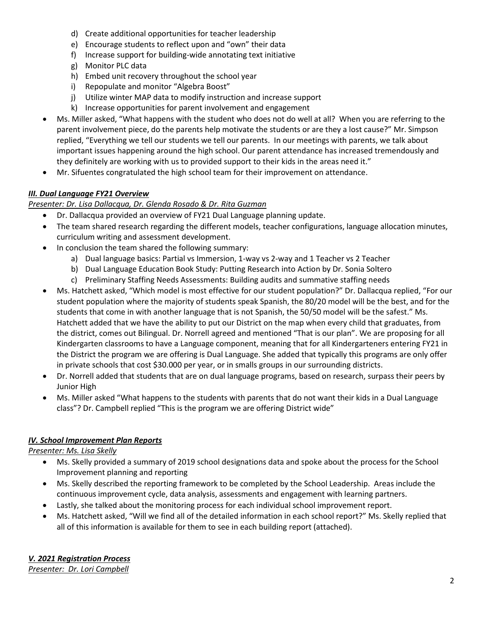- d) Create additional opportunities for teacher leadership
- e) Encourage students to reflect upon and "own" their data
- f) Increase support for building-wide annotating text initiative
- g) Monitor PLC data
- h) Embed unit recovery throughout the school year
- i) Repopulate and monitor "Algebra Boost"
- j) Utilize winter MAP data to modify instruction and increase support
- k) Increase opportunities for parent involvement and engagement
- Ms. Miller asked, "What happens with the student who does not do well at all? When you are referring to the parent involvement piece, do the parents help motivate the students or are they a lost cause?" Mr. Simpson replied, "Everything we tell our students we tell our parents. In our meetings with parents, we talk about important issues happening around the high school. Our parent attendance has increased tremendously and they definitely are working with us to provided support to their kids in the areas need it."
- Mr. Sifuentes congratulated the high school team for their improvement on attendance.

## *III. Dual Language FY21 Overview*

#### *Presenter: Dr. Lisa Dallacqua, Dr. Glenda Rosado & Dr. Rita Guzman*

- Dr. Dallacqua provided an overview of FY21 Dual Language planning update.
- The team shared research regarding the different models, teacher configurations, language allocation minutes, curriculum writing and assessment development.
- In conclusion the team shared the following summary:
	- a) Dual language basics: Partial vs Immersion, 1-way vs 2-way and 1 Teacher vs 2 Teacher
	- b) Dual Language Education Book Study: Putting Research into Action by Dr. Sonia Soltero
	- c) Preliminary Staffing Needs Assessments: Building audits and summative staffing needs
- Ms. Hatchett asked, "Which model is most effective for our student population?" Dr. Dallacqua replied, "For our student population where the majority of students speak Spanish, the 80/20 model will be the best, and for the students that come in with another language that is not Spanish, the 50/50 model will be the safest." Ms. Hatchett added that we have the ability to put our District on the map when every child that graduates, from the district, comes out Bilingual. Dr. Norrell agreed and mentioned "That is our plan". We are proposing for all Kindergarten classrooms to have a Language component, meaning that for all Kindergarteners entering FY21 in the District the program we are offering is Dual Language. She added that typically this programs are only offer in private schools that cost \$30.000 per year, or in smalls groups in our surrounding districts.
- Dr. Norrell added that students that are on dual language programs, based on research, surpass their peers by Junior High
- Ms. Miller asked "What happens to the students with parents that do not want their kids in a Dual Language class"? Dr. Campbell replied "This is the program we are offering District wide"

#### *IV. School Improvement Plan Reports*

*Presenter: Ms. Lisa Skelly* 

- Ms. Skelly provided a summary of 2019 school designations data and spoke about the process for the School Improvement planning and reporting
- Ms. Skelly described the reporting framework to be completed by the School Leadership. Areas include the continuous improvement cycle, data analysis, assessments and engagement with learning partners.
- Lastly, she talked about the monitoring process for each individual school improvement report.
- Ms. Hatchett asked, "Will we find all of the detailed information in each school report?" Ms. Skelly replied that all of this information is available for them to see in each building report (attached).

*V. 2021 Registration Process Presenter: Dr. Lori Campbell*